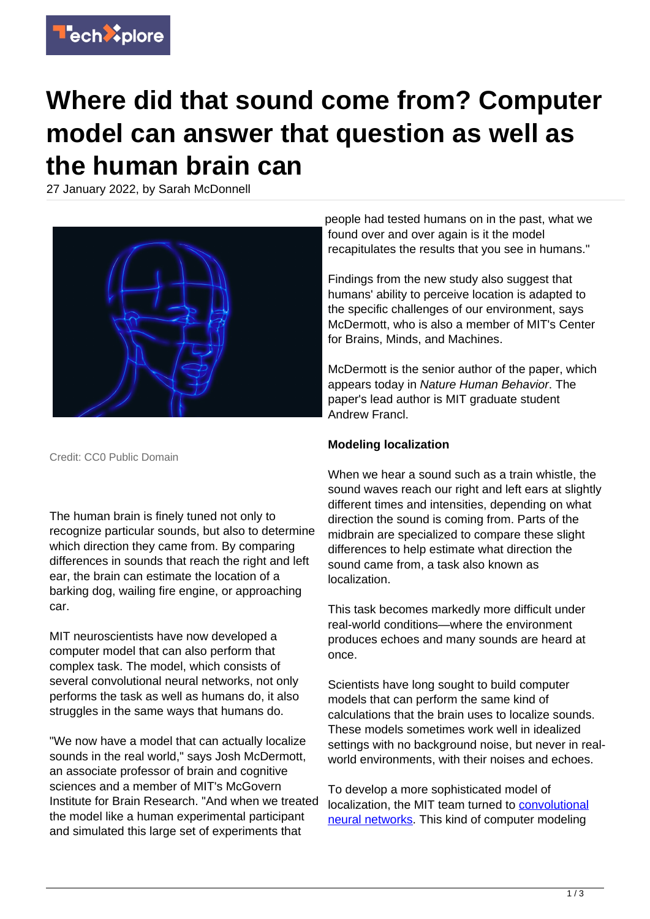

## **Where did that sound come from? Computer model can answer that question as well as the human brain can**

27 January 2022, by Sarah McDonnell



Credit: CC0 Public Domain

The human brain is finely tuned not only to recognize particular sounds, but also to determine which direction they came from. By comparing differences in sounds that reach the right and left ear, the brain can estimate the location of a barking dog, wailing fire engine, or approaching car.

MIT neuroscientists have now developed a computer model that can also perform that complex task. The model, which consists of several convolutional neural networks, not only performs the task as well as humans do, it also struggles in the same ways that humans do.

"We now have a model that can actually localize sounds in the real world," says Josh McDermott, an associate professor of brain and cognitive sciences and a member of MIT's McGovern Institute for Brain Research. "And when we treated the model like a human experimental participant and simulated this large set of experiments that

people had tested humans on in the past, what we found over and over again is it the model recapitulates the results that you see in humans."

Findings from the new study also suggest that humans' ability to perceive location is adapted to the specific challenges of our environment, says McDermott, who is also a member of MIT's Center for Brains, Minds, and Machines.

McDermott is the senior author of the paper, which appears today in Nature Human Behavior. The paper's lead author is MIT graduate student Andrew Francl.

## **Modeling localization**

When we hear a sound such as a train whistle, the sound waves reach our right and left ears at slightly different times and intensities, depending on what direction the sound is coming from. Parts of the midbrain are specialized to compare these slight differences to help estimate what direction the sound came from, a task also known as localization.

This task becomes markedly more difficult under real-world conditions—where the environment produces echoes and many sounds are heard at once.

Scientists have long sought to build computer models that can perform the same kind of calculations that the brain uses to localize sounds. These models sometimes work well in idealized settings with no background noise, but never in realworld environments, with their noises and echoes.

To develop a more sophisticated model of localization, the MIT team turned to [convolutional](https://techxplore.com/tags/convolutional+neural+networks/) [neural networks](https://techxplore.com/tags/convolutional+neural+networks/). This kind of computer modeling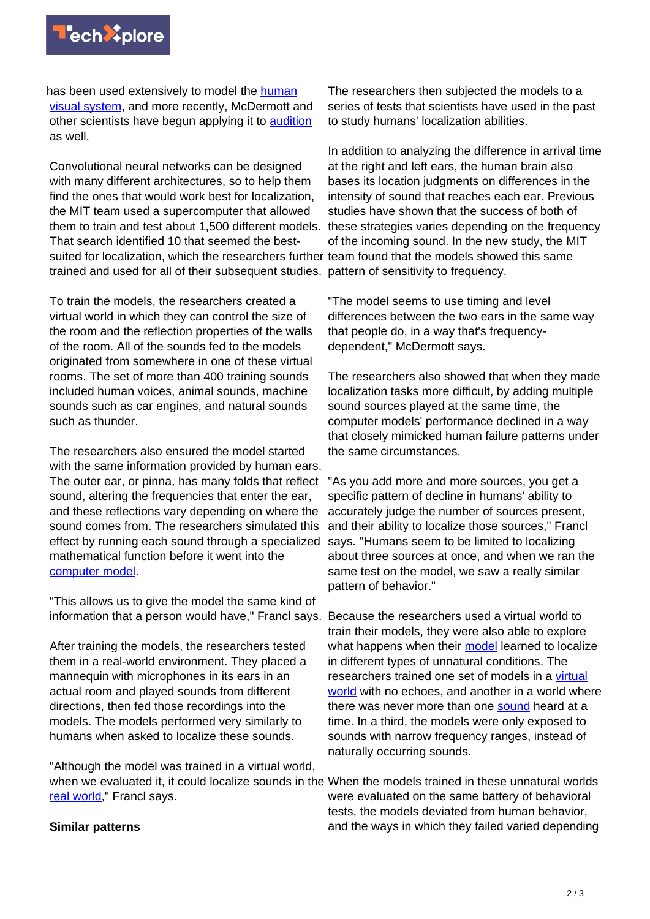

has been used extensively to model the [human](https://medicalxpress.com/news/2019-05-artificial-neural-networks-brain.html) [visual system](https://medicalxpress.com/news/2019-05-artificial-neural-networks-brain.html), and more recently, McDermott and other scientists have begun applying it to [audition](https://techxplore.com/news/2018-04-neuroscientists-deep-neural-network-humans.html) as well.

Convolutional neural networks can be designed with many different architectures, so to help them find the ones that would work best for localization, the MIT team used a supercomputer that allowed them to train and test about 1,500 different models. That search identified 10 that seemed the bestsuited for localization, which the researchers further team found that the models showed this same trained and used for all of their subsequent studies. pattern of sensitivity to frequency.

To train the models, the researchers created a virtual world in which they can control the size of the room and the reflection properties of the walls of the room. All of the sounds fed to the models originated from somewhere in one of these virtual rooms. The set of more than 400 training sounds included human voices, animal sounds, machine sounds such as car engines, and natural sounds such as thunder.

The researchers also ensured the model started with the same information provided by human ears. The outer ear, or pinna, has many folds that reflect sound, altering the frequencies that enter the ear. and these reflections vary depending on where the sound comes from. The researchers simulated this effect by running each sound through a specialized mathematical function before it went into the [computer model](https://techxplore.com/tags/computer+model/).

"This allows us to give the model the same kind of information that a person would have," Francl says. Because the researchers used a virtual world to

After training the models, the researchers tested them in a real-world environment. They placed a mannequin with microphones in its ears in an actual room and played sounds from different directions, then fed those recordings into the models. The models performed very similarly to humans when asked to localize these sounds.

"Although the model was trained in a virtual world, when we evaluated it, it could localize sounds in the When the models trained in these unnatural worlds [real world](https://techxplore.com/tags/real+world/)," Francl says.

## **Similar patterns**

The researchers then subjected the models to a series of tests that scientists have used in the past to study humans' localization abilities.

In addition to analyzing the difference in arrival time at the right and left ears, the human brain also bases its location judgments on differences in the intensity of sound that reaches each ear. Previous studies have shown that the success of both of these strategies varies depending on the frequency of the incoming sound. In the new study, the MIT

"The model seems to use timing and level differences between the two ears in the same way that people do, in a way that's frequencydependent," McDermott says.

The researchers also showed that when they made localization tasks more difficult, by adding multiple sound sources played at the same time, the computer models' performance declined in a way that closely mimicked human failure patterns under the same circumstances.

"As you add more and more sources, you get a specific pattern of decline in humans' ability to accurately judge the number of sources present, and their ability to localize those sources," Francl says. "Humans seem to be limited to localizing about three sources at once, and when we ran the same test on the model, we saw a really similar pattern of behavior."

train their models, they were also able to explore what happens when their [model](https://techxplore.com/tags/model/) learned to localize in different types of unnatural conditions. The researchers trained one set of models in a [virtual](https://techxplore.com/tags/virtual+world/) [world](https://techxplore.com/tags/virtual+world/) with no echoes, and another in a world where there was never more than one [sound](https://techxplore.com/tags/sound/) heard at a time. In a third, the models were only exposed to sounds with narrow frequency ranges, instead of naturally occurring sounds.

were evaluated on the same battery of behavioral tests, the models deviated from human behavior, and the ways in which they failed varied depending